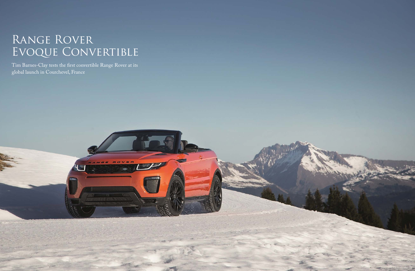## Range Rover EVOQUE CONVERTIBLE

Tim Barnes-Clay tests the first convertible Range Rover at its global launch in Courchevel, France